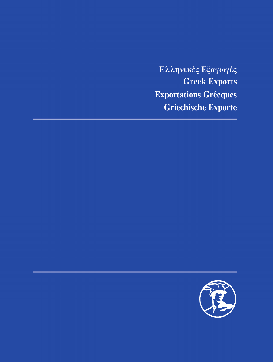Ελληνικές Εξαγωγές **Greek Exports** Exportations Grécques **Griechische Exporte** 

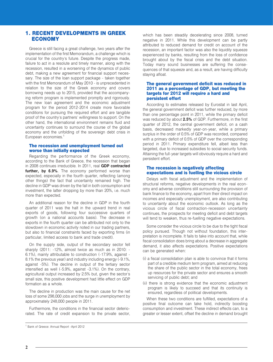# **1. RECENT DEVELOPMENTS IN GREEK ECONOMY**

Greece is still facing a great challenge, two years after the implementation of the first Memorandum, a challenge which is crucial for the country's future. Despite the progress made, failure to act in a resolute and timely manner, along with the recession, resulted in a worsening of the dynamics of public debt, making a new agreement for financial support necessary. The size of the loan support package - taken together with the first Memorandum of May 2010 - is unprecedented in relation to the size of the Greek economy and covers borrowing needs up to 2015, provided that the accompanying reform program is implemented promptly and rigorously. The new loan agreement and the economic adjustment program for the period 2012-2014 create more favorable conditions for pursuing the required effort and are tangible proof of the country's partners' willingness to support. On the other hand, the international environment remains fluid and uncertainty continues to surround the course of the global economy and the unfolding of the sovereign debt crisis in European economies.<sup>1</sup>

## The recession and unemployment turned out worse than initially expected

Regarding the performance of the Greek economy. according to the Bank of Greece, the recession that began in 2008 continues irreducible. In 2011, real GDP contracted further, by 6.9%. The economy performed worse than expected, especially in the fourth quarter, reflecting (among other things) the fact that uncertainty remained high. The decline in GDP was driven by the fall in both consumption and investment, the latter dropping by more than 20%, i.e. much more than expected.

An additional reason for the decline in GDP in the fourth quarter of 2011 was the halt in the upward trend in real exports of goods, following four successive quarters of growth (on a national accounts basis). The decrease in exports in the fourth quarter can be attributed not only to the slowdown in economic activity noted in our trading partners, but also to financial constraints faced by exporting firms (in particular, limited access to bank and trade credit).

On the supply side, output of the secondary sector fell sharply (2011: -12%, almost twice as much as in 2010: -6.1%), mainly attributable to construction (-17.9%, against -8.1% the previous year) and industry including energy (-9.1%. against -5%). The decline in output of the tertiary sector intensified as well (-5.9%, against -3.1%). On the contrary, agricultural output increased by 2.5% but, given the sector's small size, this positive development had little effect on GDP formation as a whole.

The decline in production was the main cause for the net loss of some 298,000 jobs and the surge in unemployment by approximately 248,000 people in 2011.

Furthermore, the conditions in the financial sector deteriorated. The rate of credit expansion to the private sector, which has been steadily decelerating since 2008, turned negative in 2011. While this development can be partly attributed to reduced demand for credit on account of the recession, an important factor was also the liquidity squeeze experienced by banks, resulting from the loss of confidence brought about by the fiscal crisis and the debt situation. Today many sound businesses are suffering the consequences of that squeeze and, as a result, are having difficulty staying afloat.

## The general government deficit was reduced in 2011 as a percentage of GDP, but meeting the targets for 2012 will require a hard and persistent effort

According to estimates released by Eurostat in last April, the general government deficit was further reduced, by more than one percentage point in 2011, while the primary deficit was reduced by about 2.5% of GDP. Furthermore, in the first quarter of 2012, the central government deficit, on a cash basis, decreased markedly year-on-year, while a primary surplus in the order of 0.5% of GDP was recorded, compared with a primary deficit of 0.5% of GDP over the corresponding period in 2011. Primary expenditure fell, albeit less than targeted, due to increased subsidies to social security funds. Attaining the full-year targets will obviously reguire a hard and persistent effort.

### The recession is negatively affecting expectations and is fuelling the vicious circle

Delays with fiscal adjustment and the implementation of structural reforms, negative developments in the real economy and adverse conditions still surrounding the provision of bank finance to the economy, apart from their direct impact on incomes and especially unemployment, are also contributing to uncertainty about the economic outlook. As long as the vicious circle of fiscal contraction-recession uncertainty continues, the prospects for meeting deficit and debt targets will tend to weaken, thus re-fuelling negative expectations.

Some consider the vicious circle to be due to the tight fiscal policy pursued. Though not without foundation, this interpretation is incomplete. It fails to take into account that, while fiscal consolidation does bring about a decrease in aggregate demand, it also affects expectations. Positive expectations can be generated when:

- (i) a fiscal consolidation plan is able to convince that it forms part of a credible medium term program, aimed at reducing the share of the public sector in the total economy, frees up resources for the private sector and ensures a smooth servicing of public debt; and
- (ii) there is strong evidence that the economic adjustment program is likely to succeed and that its continuity is ensured, regardless of political developments.

When these two conditions are fulfilled, expectations of a positive final outcome can take hold, indirectly boosting consumption and investment. These indirect effects can, to a greater or lesser extent, offset the decline in demand brought

<sup>&</sup>lt;sup>1</sup> Bank of Greece: Annual Report - April 2012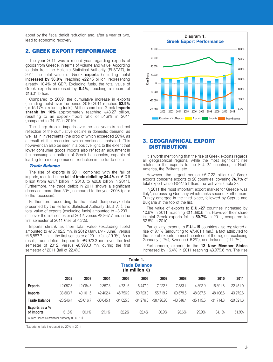about by the fiscal deficit reduction and, after a year or two, lead to economic recovery.

# **2. GREEK EXPORT PERFORMANCE**

The year 2011 was a record year regarding exports of goods from Greece, in terms of volume and value. According to data from the Hellenic Statistical Authority (ELSTAT), in 2011 the total value of Greek exports (including fuels) increased by 36.8%, reaching €22.45 billion, representing already 10.4% of GDP. Excluding fuels, the total value of Greek exports increased by 9.4%, reaching a record of  $€16.01$  billion.

Compared to 2009, the cumulative increase in exports (including fuels) over the period 2010-2011 reached 52.9% (or 15.17% excluding fuels). At the same time Greek **imports** shrank by 10% approximately reaching  $643.27$  billion, resulting to an export/import ratio of 51.9% in 2011 (compared to 34.1% in 2010).

The sharp drop in imports over the last vears is a direct reflection of the cumulative decline in domestic demand, as well as in investments (the drop of which exceeded 20%), as a result of the recession which continues unabated. This however can also be seen in a positive light, to the extent that lower consumer goods imports also reflect an adjustment in the consumption pattern of Greek households, capable of leading to a more permanent reduction in the trade deficit.

### **Trade Balance**

The rise of exports in 2011 combined with the fall of imports, resulted in the fall of trade deficit by 34.4% or  $\in 0.9$ billion (from  $\leq 31.7$  billion in 2010, to  $\leq 20.8$  billion in 2011). Furthermore, the trade deficit in 2011 shows a significant decrease, more than 50%, compared to the year 2008 (prior to the recession).

Furthermore, according to the latest (temporary) data presented by the Hellenic Statistical Authority (ELSTAT), the total value of exports (excluding fuels) amounted to €8,209.1 mn. over the first semester of 2012, versus €7,867.7 mn. in the first semester of 2011 (rise of 4.3%).

Imports shrank as their total value (excluding fuels) amounted to €15,182.3 mn. in 2012 (January - June), versus €16,857.7 mn. in the first semester of 2011 (fall of 9.9%). As a result, trade deficit dropped to €6,973.3 mn. over the first semester of 2012, versus €8,990.0 mn. during the first semester of 2011 (fall of 22.4%).



# **3. GEOGRAPHICAL EXPORT DISTRIBUTION**

It is worth mentioning that the rise of Greek exports regards all geographical regions, while the most significant rise relates to the exports to the E.U.-27 countries, to North America, the Balkans, etc.

However, the largest portion (€17.22 billion) of Greek exports concerns exports to 20 countries, covering 76.7% of total export value ( $\epsilon$ 22.45 billion) the last year (table 2).

In 2011 the most important export market for Greece was Italy<sup>2</sup>, surpassing Germany which ranks second. Furthermore Turkey emerged in the third place, followed by Cyprus and Bulgaria at the top of the list.

The value of exports to **E.U.-27** countries increased by 10.6% in 2011, reaching €11,380.6 mn. However their share in total Greek exports fell to 50.7% in 2011, compared to 62.8% in 2010.

Particularly, exports to **E.U.-15** countries also registered a rise of 9.1% (amounting to €7,401.1 mn.), a fact attributed to the rise of exports to most countries of the region, excluding Germany (-2%), Sweden (-6.2%), and Ireland (-11.2%).

Furthermore, exports to the 12 New Member States increased by 16.4% in 2011 reaching €3,979.6 mn. The rise

| Table 1.<br><b>Trade Balance</b><br>(in million $\in$ ) |             |             |             |             |             |              |             |             |             |             |
|---------------------------------------------------------|-------------|-------------|-------------|-------------|-------------|--------------|-------------|-------------|-------------|-------------|
|                                                         | 2002        | 2003        | 2004        | 2005        | 2006        | 2007         | 2008        | 2009        | 2010        | 2011        |
| <b>Exports</b>                                          | 12.057.3    | 12.084.8    | 12.357.3    | 14.731.6    | 16.447.0    | 17,222.8     | 17,333.1    | 14.392.9    | 16.391.8    | 22,451.0    |
| <b>Imports</b>                                          | 38,303.7    | 40.101.5    | 42.402.4    | 45.756.9    | 50.723.0    | 55.719.7     | 60.679.5    | 48.087.5    | 48.106.6    | 43,272.6    |
| <b>Trade Balance</b>                                    | $-26.246.4$ | $-28.016.7$ | $-30.045.1$ | $-31.025.3$ | $-34.276.0$ | $-38.496.90$ | $-43.346.4$ | $-35.115.5$ | $-31.714.8$ | $-20,821.6$ |
| Exports as a %<br>of imports                            | 31.5%       | 30.1%       | 29.1%       | 32.2%       | 32.4%       | 30.9%        | 28.6%       | 29.9%       | 34.1%       | 51.9%       |
| Source: Hellenic Statistical Authority (ELSTAT)         |             |             |             |             |             |              |             |             |             |             |

<sup>2</sup>Exports to Italy increased by 20% in 2011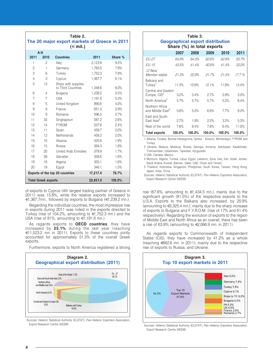| Table 2.<br>The 20 major export markets of Greece in 2011<br>$(\in$ mil.) |                                                  |                                        |          |       |  |  |
|---------------------------------------------------------------------------|--------------------------------------------------|----------------------------------------|----------|-------|--|--|
| A/A<br>2011<br>2011<br>2010<br><b>Countries</b><br>Share %                |                                                  |                                        |          |       |  |  |
| 1                                                                         | 2                                                | Italy                                  | 2.123.8  | 9.5%  |  |  |
| 2                                                                         | 1                                                | Germany                                | 1,763.5  | 7.9%  |  |  |
| 3                                                                         | 6                                                | Turkey                                 | 1,752.3  | 7.8%  |  |  |
| $\overline{4}$                                                            | 3                                                | Cyprus                                 | 1.367.7  | 6.1%  |  |  |
| 5                                                                         | 13                                               | Ships with supplies                    |          |       |  |  |
|                                                                           |                                                  | to Third Countries                     | 1,348.6  | 6.0%  |  |  |
| 6                                                                         | $\overline{4}$                                   | <b>Bulgaria</b>                        | 1.239.2  | 5.5%  |  |  |
| $\overline{7}$                                                            | $\overline{7}$                                   | <b>USA</b>                             | 1,191.8  | 5.3%  |  |  |
| 8                                                                         | 5                                                | United Kingdom                         | 890.6    | 4.0%  |  |  |
| 9                                                                         | 8                                                | France                                 | 651.0    | 2.9%  |  |  |
| 10                                                                        | 9                                                | Romania                                | 596.5    | 2.7%  |  |  |
| 11                                                                        | 33                                               | Singkapouri                            | 587.2    | 2.6%  |  |  |
| 12                                                                        | 14                                               | <b>FYROM</b>                           | 527.6    | 2.4%  |  |  |
| 13                                                                        | 11                                               | Spain                                  | 459.7    | 2.0%  |  |  |
| 14                                                                        | 12                                               | <b>Netherlands</b>                     | 458.2    | 2.0%  |  |  |
| 15                                                                        | 10                                               | Albania                                | 425.8    | 1.9%  |  |  |
| 16                                                                        | 15                                               | Russia                                 | 394.3    | 1.8%  |  |  |
| 17                                                                        | 20                                               | <b>United Arab Emirates</b>            | 379.8    | 1.7%  |  |  |
| 18                                                                        | 39                                               | Gibraltar                              | 358.6    | 1.6%  |  |  |
| 19                                                                        | 18                                               | Algeria                                | 355.1    | 1.6%  |  |  |
| 20                                                                        | 19                                               | Egypt                                  | 346.1    | 1.5%  |  |  |
|                                                                           |                                                  | <b>Exports of the top 20 countries</b> | 17,217.4 | 76.7% |  |  |
|                                                                           | 22,451.0<br>100.0%<br><b>Total Greek exports</b> |                                        |          |       |  |  |

of exports to Cyprus (4th largest trading partner of Greece in 2011) was 15.8%, while the relative exports increased to €1,367.7mn., followed by exports to Bulgaria (€1,239.2 mn.).

Regarding the individual countries, the most impressive rise in exports during 2011 was noted in the exports directed to Turkey (rise of 104.2%, amounting to €1,752.3 mn.) and the USA (rise of 81%, amounting to  $\in$ 1,191.8 mn.).

As regards exports to **OECD countries**, they have increased by 23.1% during the last year (reaching  $\in$ 1,523.2 mn in 2011). Exports to these countries jointly accounted for approximately 51.3% of the overall Greek exports.

Furthermore, exports to North America registered a strong



Sources: Hellenic Statistical Authority (ELSTAT), Pan-Hellenic Exporters Association, Export Research Centre (KEEM)

| Table 3.<br><b>Geographical export distribution</b><br>Share (%) in total exports |         |         |        |        |        |  |  |  |
|-----------------------------------------------------------------------------------|---------|---------|--------|--------|--------|--|--|--|
|                                                                                   | 2007    | 2008    | 2009   | 2010   | 2011   |  |  |  |
| <i>EU-27</i>                                                                      | 64.9%   | 64.3%   | 62.6%  | 62.8%  | 50.7%  |  |  |  |
| $F11 - 15$                                                                        | 43.5%   | 41.4%   | 40.9%  | 41.4%  | 33.0%  |  |  |  |
| <i>12 New</i><br>Member states                                                    | 21.3%   | 22.8%   | 21.7%  | 21.4%  | 17.7 % |  |  |  |
| Balkans and<br>Turkey <sup>1</sup>                                                | 11.3%   | 10.9%   | 121%   | 11.9%  | 144%   |  |  |  |
| Central and Eastern<br>Europe, CIS <sup>2</sup>                                   | 3.2%    | 3.4%    | 2.7%   | 2.9%   | 3.0%   |  |  |  |
| North America <sup>3</sup>                                                        | 4.7%    | 5.7%    | 5.7%   | 5.2%   | 6.4%   |  |  |  |
| Northern Africa<br>and Middle East <sup>4</sup>                                   | 5.6%    | 5.5%    | 6.8%   | 7.7%   | 9.2%   |  |  |  |
| East and South-<br>East Asia <sup>5</sup>                                         | $2.7\%$ | 1.9%    | 2.2%   | 3.2%   | 5.3%   |  |  |  |
| Rest of the world                                                                 | 7.6%    | $8.4\%$ | 7.8%   | 6.4%   | 11.0%  |  |  |  |
| <b>Total exports</b>                                                              | 100.0%  | 100.0%  | 100.0% | 100.0% | 100.0% |  |  |  |

1 Albania, Croatia, Bosnia-Herzegovina, Serbia - Kosovo, Montenegro, FYROM and Turkey.

2 Ukraine, Belarus, Moldova, Russia, Georgia, Armenia, Azerbaijan, Kazakhstan, Turkmenistan, Uzbekistan, Tajikistan, Kyrgyzstan.

3 USA, Canada, Mexico,

4 Morocco, Algeria, Tunisia, Libya, Egypt, Lebanon, Syria, Iraq, Iran, Israel, Jordan, Saudi Arabia, Kuwait, Bahrain, Qatar, UAE, Oman and Yemen.

5 Thailand, Indonesia, Singapore, Philippines, South Korea, Taiwan, Hong Kong, Japan, India, China.

Sources: Hellenic Statistical Authority (ELSTAT), Pan-Hellenic Exporters Association, Export Research Centre (KEEM)

rise (67.6%, amounting to  $\in$ 1,434.5 mn.), mainly due to the significant growth (81.5%) of the respective exports to the U.S.A. Exports to the Balkans also increased, by 20.9% (amounting to  $\epsilon$ 3,325.4 mn.), mainly due to the sharp increase of exports to Bulgaria and F.Y.R.O.M. (rise of 17% and 61.4% respectively). Regarding the evolution of exports to the region of Middle East and North Africa as an overall, there has been a rise of 63.9% (amounting to €2,066.9 mn. in 2011).

As regards exports to Commonwealth of Independent States (CIS), they have increased by 41.2% as a whole (reaching €662.6 mn. in 2011), mainly due to the respective rise of exports to Russia, and Ukraine.



Sources: Hellenic Statistical Authority (ELSTAT), Pan-Hellenic Exporters Association, Export Research Centre (KEEM)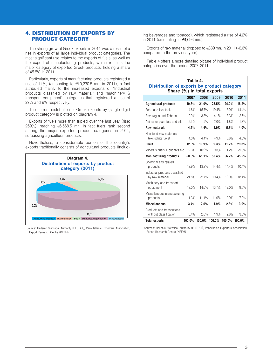# **4. DISTRIBUTION OF EXPORTS BY PRODUCT CATEGORY**

The strong grow of Greek exports in 2011 was a result of a rise in exports of all large individual product categories. The most significant rise relates to the exports of fuels, as well as the export of manufacturing products, which remains the major category of exported Greek products, holding a share of 45.5% in 2011.

Particularly, exports of manufacturing products registered a rise of 11%, (amounting to  $\in$ 10,230.5 mn. in 2011), a fact attributed mainly to the increased exports of "Industrial products classified by raw material" and "machinery & transport equipment", categories that registered a rise of 27% and 9% respectively.

The current distribution of Greek exports by (single-digit) product category is plotted on diagram 4.

Exports of fuels more than tripled over the last year (rise: 259%), reaching €6,568.5 mn. In fact fuels rank second among the major exported product categories in 2011, surpassing agricultural products.

Nevertheless, a considerable portion of the country's exports traditionally consists of agricultural products (includ-



Source: Hellenic Statistical Authority (ELSTAT), Pan-Hellenic Exporters Association, Export Research Centre (KEEM)

ing beverages and tobacco), which registered a rise of 4.2% in 2011 (amounting to  $\in$ 4.096 mn.).

Exports of raw material dropped to €889 mn. in 2011 (-6.6% compared to the previous year).

Table 4 offers a more detailed picture of individual product categories over the period 2007-2011.

| Table 4.<br>Distribution of exports by product category<br>Share (%) in total exports |        |          |               |        |        |  |  |
|---------------------------------------------------------------------------------------|--------|----------|---------------|--------|--------|--|--|
|                                                                                       | 2007   | 2008     | 2009          | 2010   | 2011   |  |  |
| <b>Agricultural products</b>                                                          | 19.8%  | 21.0%    | 25.5%         | 24.0%  | 18.2%  |  |  |
| Food and livestock                                                                    | 14.8%  | 15.7%    | 19.4%         | 18.9%  | 14.4%  |  |  |
| Beverages and Tobacco                                                                 | 2.9%   | 3.3%     | $4.1\%$       | 3.3%   | 2.5%   |  |  |
| Animal or plant fats and oils                                                         | 2.1%   | 1.9%     | 20%           | 18%    | 1.3%   |  |  |
| Raw materials                                                                         | 4.5%   | 4.4%     | 4.9%          | 5.8%   | 4.0%   |  |  |
| Non-food raw materials<br>(excluding fuels)                                           | 4.5%   | $4.4\%$  | 4.9%          | 5.8%   | 4.0%   |  |  |
| <b>Fuels</b>                                                                          | 12.3%  | 10.9%    | 9.3%          | 11.2%  | 29.3%  |  |  |
| Minerals, fuels, lubricants etc.                                                      | 12.3%  | 10.9%    | 9.3%          | 11.2%  | 29.3%  |  |  |
| <b>Manufacturing products</b>                                                         | 60.0%  | 61.1%    | 58.4%         | 56.2%  | 45.5%  |  |  |
| Chemical and related<br>products                                                      | 13.9%  | 13.3%    | 14.4%         | 14.4%  | 10.4%  |  |  |
| Industrial products classified<br>by raw material                                     | 21.8%  | 227%     | 19.4%         | 19.9%  | 18.4%  |  |  |
| Machinery and transport<br>equipment                                                  | 13.0%  | 14.0%    | 13.7%         | 12.0%  | 9.5%   |  |  |
| Miscellaneous manufacturing<br>products                                               | 11.3%  | $11.1\%$ | 11.0%         | 9.9%   | 7.2%   |  |  |
| <b>Miscellaneous</b>                                                                  | 3.4%   | 2.6%     | 1.9%          | 2.8%   | 3.0%   |  |  |
| Products and transactions<br>without classification                                   | 3.4%   | 2.6%     | 1.9%          | 2.8%   | 3.0%   |  |  |
| <b>Total exports</b>                                                                  | 100.0% |          | 100.0% 100.0% | 100.0% | 100.0% |  |  |

Sources: Hellenic Statistical Authority (ELSTAT), Panhellenic Exporters Association, Export Research Centre (KEEM)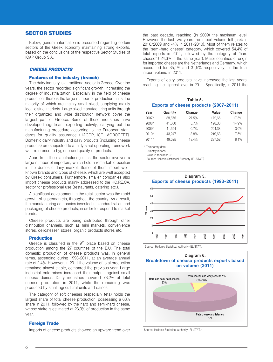# **SECTOR STUDIES**

Below, general information is presented regarding certain sectors of the Greek economy maintaining strong exports, based on the conclusions of the respective Sector Studies of ICAP Group S.A.

# **CHEESE PRODUCTS**

# **Features of the industry (branch)**

The dairy industry is a traditional sector in Greece. Over the years, the sector recorded significant growth, increasing the degree of industrialization. Especially in the field of cheese production, there is the large number of production units, the majority of which are mainly small sized, supplying mainly local district markets. Large sized manufacturing units through their organized and wide distribution network cover the largest part of Greece. Some of these industries have developed significant exporting activity, carrying out the manufacturing procedure according to the European standards for quality assurance (HACCP, ISO, AGROCERT). Domestic dairy industry and dairy products (including cheese products) are subjected to a fairly strict operating framework with reference to hygiene and quality of products.

Apart from the manufacturing units, the sector involves a large number of importers, which hold a remarkable position in the domestic dairy market. Some of them import wellknown brands and types of cheese, which are well accepted by Greek consumers. Furthermore, smaller companies also import cheese products mainly addressed to the HO.RE.CA. sector for professional use (restaurants, catering etc.).

A significant development in the retail sector was the rapid growth of supermarkets, throughout the country. As a result, the manufacturing companies invested in standardization and packaging of cheese products, in order to respond to market trends.

Cheese products are being distributed through other distribution channels, such as mini markets, convenience stores, delicatessen stores, organic products stores etc.

### **Production**

Greece is classified in the 9<sup>th</sup> place based on cheese production among the 27 countries of the E.U. The total domestic production of cheese products was, in general terms, ascending during 1993-2011, at an average annual rate of 2,4%. However, in 2011 the volume of total production remained almost stable, compared the previous year. Large industrial enterprises increased their output, against small cheese dairies. Dairy industries covered 73,2% of total cheese production in 2011, while the remaining was produced by small agricultural units and dairies.

The category of soft cheeses (especially feta) holds the largest share of total cheese production, possessing a 63% share in 2011, followed by the hard and semi-hard cheese, whose stake is estimated at 23,3% of production in the same vear.

## **Foreign Trade**

Imports of cheese products showed an upward trend over

the past decade, reaching (in 2009) the maximum level. However, the last two vears the import volume fell (-5% in 2010/2009 and -4% in 2011/2010). Most of them relates to the "semi-hard cheese" category, which covered 54,4% of total imports in 2011, followed by the category of "hard cheese" (24,3% in the same year). Major countries of origin for imported cheese are the Netherlands and Germany, which accounted for 35,1% and 31,9% respectively, of the total import volume in 2011.

Exports of dairy products have increased the last years, reaching the highest level in 2011. Specifically, in 2011 the

| Table 5.<br><b>Exports of cheese products (2007-2011)</b> |          |        |        |        |  |  |
|-----------------------------------------------------------|----------|--------|--------|--------|--|--|
| Year                                                      | Quantity | Change | Value  | Change |  |  |
| $2007*$                                                   | 39.875   | 27.5%  | 172.66 | 17.5%  |  |  |
| $2008*$                                                   | 41.360   | 3.7%   | 198.33 | 14.9%  |  |  |
| $2009*$                                                   | 41.654   | 0.7%   | 204.38 | 3.0%   |  |  |
| $2010*$                                                   | 43.247   | 3.8%   | 219,63 | 7.5%   |  |  |
| $2011*$                                                   | 49.025   | 13.4%  | 237.52 | 8.1%   |  |  |

\* Temporary data

Quantity in tons

Value in thousand  $\in$ 

Source: Hellenic Statistical Authority (EL.STAT.)



Source: Hellenic Statistical Authority (EL.STAT.)



Source: Hellenic Statistical Authority (EL.STAT.)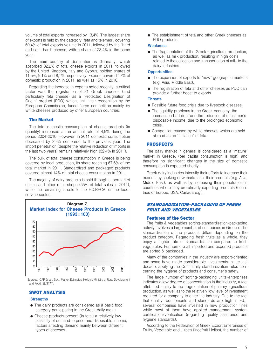volume of total exports increased by 13,4%. The largest share of exports is held by the category "feta and telemes", covering 69.4% of total exports volume in 2011, followed by the "hard" and semi-hard" cheese, with a share of 23.4% in the same vear.

The main country of destination is Germany, which absorbed 32,2% of total cheese exports in 2011, followed by the United Kingdom, Italy and Cyprus, holding shares of 11,5%, 9,1% and 8,1% respectively. Exports covered 17% of domestic production in 2011, as well as 15% in 2010.

Regarding the increase in exports noted recently, a critical factor was the registration of 21 Greek cheeses (and particularly feta cheese) as a "Protected Designation of Origin" product (PDO) which, until their recognition by the European Commission, faced fierce competition mainly by white cheeses produced by other European countries.

### **The Market**

The total domestic consumption of cheese products (in quantity) increased at an annual rate of 4,5% during the period 2004-2010. However, in 2011 domestic consumption decreased by 2,8% compared to the previous year. The import penetration (despite the relative reduction of imports in the last two years) remains relatively high (32,4% in 2011).

The bulk of total cheese consumption in Greece is being covered by local production, its share reaching 67,6% of the total market in 2011. Standardized and packaged products covered almost 14% of total cheese consumption in 2011.

The maiority of dairy products is sold through supermarket chains and other retail shops (55% of total sales in 2011), while the remaining is sold to the HO.RECA. or the foodservice sector.



Sources: ICAP Group S.A., Market Estimates, Hellenic Ministry of Rural Development and Food, EL.STAT.

## **SWOT ANALYSIS**

### **Strengths**

- The dairy products are considered as a basic food category participating in the Greek daily menu
- Cheese products present (in total) a relatively low elasticity of demand to price and disposable income, factors affecting demand mainly between different types of cheeses.

• The establishment of feta and other Greek cheeses as PDO products.

### **Weakness**

• The fragmentation of the Greek agricultural production, as well as milk production, resulting in high costs related to the collection and transportation of milk to the dairy industries.

### **Opportunities**

- The expansion of exports to "new" geographic markets (e.g. Asia, Middle East).
- The registration of feta and other cheeses as PDO can provide a further boost to exports.

### **Threats**

- Possible future food crisis due to livestock diseases.
- The liquidity problems in the Greek economy, the increase in bad debt and the reduction of consumer's disposable income, due to the prolonged economic crisis.
- Competition caused by white cheeses which are sold abroad as an "imitation" of feta

### **PROSPECTS**

The dairy market in general is considered as a "mature" market in Greece, (per capita consumption is high) and therefore no significant changes in the size of domestic consumption is expected shortly.

Greek dairy industries intensify their efforts to increase their exports, by seeking new markets for their products (e.g. Asia, Middle East), as well as by increasing their penetration in countries where they are already exporting products (countries of Europe, USA, Canada e.g.).

# **STANDARDIZATION-PACKAGING OF FRESH FRUIT AND VEGETABLES**

### **Features of the Sector**

The fruits & vegetables sorting-standardization-packaging activity involves a large number of companies in Greece. The standardization of the products differs depending on the product category. Regarding fresh fruits as a whole, they enjoy a higher rate of standardization compared to fresh vegetables. Furthermore all imported and exported products are sorted & packaged.

Many of the companies in the industry are export-oriented and some have made considerable investments in the last decade, applying the Community standardization rules concerning the hygiene of products and consumer's safety.

The large number of sorting-packaging units/enterprises indicates a low degree of concentration in the industry, a fact attributed mainly to the fragmentation of primary agricultural production, as well as to the relatively low level of investment required for a company to enter the industry. Due to the fact that quality requirements and standards are high in E.U., several companies have invested in new production lines while most of them have applied management system certification/verification (regarding quality assurance and hygiene standards).

According to the Federation of Greek Export Enterprises of Fruits, Vegetable and Juices (Incofruit Hellas), the number of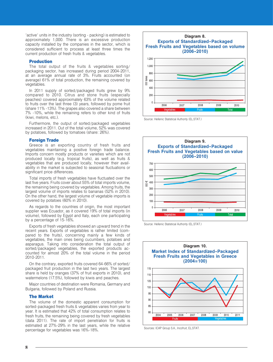"active" units in the industry (sorting - packing) is estimated to approximately 1,000. There is an excessive production capacity installed by the companies in the sector, which is considered sufficient to process at least three times the current production of fresh fruits & vegetables.

### **Production**

The total output of the fruits & vegetables sorting/ packaging sector, has increased during period 2004-2011, at an average annual rate of 3%. Fruits accounted (on average) 61% of total production, the remaining covered by vegetables.

In 2011 supply of sorted/packaged fruits grew by 9% compared to 2010. Citrus and stone fruits (especially peaches) covered approximately 63% of the volume related to fruits over the last three (3) years, followed by pome fruit (share 11% -13%). The grapes also covered a share between 7% -10%, while the remaining refers to other kind of fruits (kiwi, melons, etc.).

Furthermore, the output of sorted/packaged vegetables increased in 2011. Out of the total volume, 52% was covered by potatoes, followed by tomatoes (share: 26%).

#### **Foreign Trade**

Greece is an exporting country of fresh fruits and vegetables maintaining a positive foreign trade balance. Imports concern mostly products or varieties which are not produced locally (e.g. tropical fruits), as well as fruits & vegetables that are produced locally, however their availability in the market is subjected to seasonal fluctuations or significant price differences.

Total imports of fresh vegetables have fluctuated over the last five years. Fruits cover about 55% of total imports volume, the remaining being covered by vegetables. Among fruits, the largest volume of imports relates to bananas (52% in 2010). On the other hand, the largest volume of vegetable imports is covered by potatoes (60% in 2010).

As regards to the countries of origin, the most important supplier was Ecuador, as it covered 19% of total imports (in volume), followed by Egypt and Italy, each one participating by a percentage of 15-16%.

Exports of fresh vegetables showed an upward trend in the recent years. Exports of vegetables is rather limited (compared to the fruits), concerning mainly a few kinds of vegetables, the main ones being cucumbers, potatoes and asparagus. Taking into consideration the total output of sorted/packaged vegetables, the exported products accounted for almost 20% of the total volume in the period 2010-2011

On the contrary, exported fruits covered 64-66% of sorted/ packaged fruit production in the last two years. The largest share is held by oranges (37% of fruit exports in 2010), and watermelons (17.5%), followed by kiwis and peaches.

Major countries of destination were Romania, Germany and Bulgaria, followed by Poland and Russia.

#### **The Market**

The volume of the domestic apparent consumption for sorted-packaged fresh fruits & vegetables varies from year to year. It is estimated that 42% of total consumption relates to fresh fruits, the remaining being covered by fresh vegetables (data 2011). The rate of import penetration for fruits is estimated at 27%-29% in the last years, while the relative percentage for vegetables was 16%-18%.



Source: Hellenic Statistical Authority (EL.STAT.)



Source: Hellenic Statistical Authority (EL.STAT.)



Sources: ICAP Group S.A., Incofruit, EL.STAT.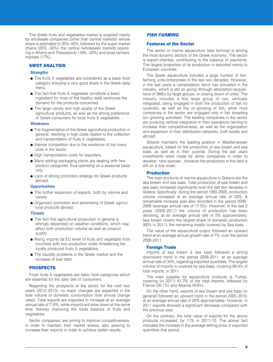The Greek fruits and vegetables market is supplied mainly by wholesale companies (other than central markets) whose share is estimated to 35%-40%, followed by the super market chains (25% -30%), the central (wholesale) markets operating in Athens and Thessaloniki (16% -20%) and small farmers' markets (17%).

# **SWOT ANALYSIS**

### **Strenaths**

- The fruits & vegetables are considered as a basic food category enjoying a very good share in the Greek daily menu.
- The fact that fruits & vegetable constitute a basic ingredient for most of the healthy diets reinforces the demand for the products concerned.
- The large variety and high quality of the Greek agricultural products, as well as the strong preference of Greek consumers for local fruits & vegetables.

#### **Weakness**

- The fragmentation of the Greek agricultural production in general, resulting in high costs related to the collection and transportation of fruits & vegetables.
- Intense competition due to the existence of too many units in the sector.
- High transportation costs for exporters.
- Many sorting/packaging plants are dealing with few product categories, thus operating on a seasonal basis only.
- Lack of strong promotion strategy for Greek products abroad.

#### **Opportunities**

- The further expansion of exports, both by volume and variety
- Organized promotion and advertising of Greek agricultural products abroad.

#### **Threats**

- The fact that agricultural production in general is strongly depended on weather conditions, which may affect both production volume as well as product quality.
- Rising imports (at EU level) of fruits and vegetable from countries with low production costs, threatening the locally produced fruits & vegetables.
- The liquidity problems in the Greek market and the increase of bad debt.

#### **PROSPECTS**

Fresh fruits & vegetables are basic food categories which are essential for the daily diet of consumers.

Regarding the prospects of the sector for the next two years (2012-2013), no major changes are expected in the total volume of domestic consumption (low annual change rates). Total exports are expected to increase at an average annual rate of 7-8%, while imports will slow down at the same time, thereby improving the trade balance of fruits and vegetables.

Sector companies' are aiming to improve competitiveness, in order to maintain their market shares, also seeking to increase their exports in order to achieve better results.

### **FISH FARMING**

## **Features of the Sector**

The sector of marine aguaculture (sea farming) is among the most dynamic sectors of the Greek economy. The sector is export-oriented, contributing to the balance of payments. The largest proportion of its production is exported mainly to European countries.

The Greek aquaculture included a large number of fishfarming units/enterprises in the last two decades. However, in the last years a consolidation trend has prevailed in the industry, which is still on-going (through absorption/acquisitions of SMEs by large groups, or closing down of units). The industry includes a few large group of cos, vertically integrated, being engaged in both the production of fish fry (iuvenile), as well as the on-growing of fish, while most companies in the sector are engaged only in fish breading (on-growing activities). The leading companies in the sector are pursuing vertical integration in their operations (aiming to increase their competitiveness), as well as the organization and expansion of their distribution networks, both locally and abroad.

Greece maintains the leading position in Mediterranean aquaculture, based on the production of sea bream and sea bass, as well as in their juvenile. During the last years investments were made by some companies in order to develop "new species", however the production in this field is still on a low scale.

#### **Production**

The main products of marine aquaculture in Greece are the sea bream and sea bass. Total production of sea bream and sea bass increased significantly over the last two decades in Greece, Specifically, during the period 1993-2005, production volume increased at an average annual rate of 20%. A remarkable increase was also recorded in the period 2006-2008 (average annual rate of 17.5%). However, in the last 2 years (2009-2011) the volume of production has been declining, at an average annual rate of 5% approximately. Sea bream covers the largest share of domestic production (60% in 2011), the remaining mostly covered by Sea bass.

The value of the aquaculture output followed an upward trend at an average annual growth rate of 7%, over the period 2006-2011.

#### **Foreign Trade**

Imports of sea bream & sea bass followed a strong downward trend in the period 2008-2011, at an average annual rate of 34%, regarding imported quantities. The largest volume of imports is covered by sea bass, covering 66.4% of total imports. in 2011.

The main supplier for aquaculture products is Turkey, covering (in 2011) 61.7% of the total imports, followed by France (20.1%) and Albania (6.6%).

On the other hand, exports of sea bream and sea bass (in general) followed an upward trend in the period 2005-2010, at an average annual rate of 20% approximately. However, in 2011 exports showed a significant decrease compared with the previous year.

On the contrary, the total value of exports for the above products increased, by 11% in 2011/10. The above fact indicates the increase in the average selling price of exported quantities that period.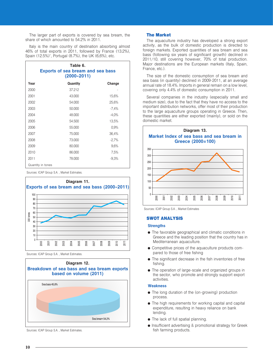The larger part of exports is covered by sea bream, the share of which amounted to 54.2% in 2011.

Italy is the main country of destination absorbing almost 46% of total exports in 2011, followed by France (13.2%), Spain (12.5%)", Portugal (8.7%), the UK (6,6%), etc.

|      | Table 6.<br><b>Exports of sea bream and sea bass</b><br>(2000–2011) |         |
|------|---------------------------------------------------------------------|---------|
| Year | Quantity                                                            | Change  |
| 2000 | 37.212                                                              |         |
| 2001 | 43.000                                                              | 15,6%   |
| 2002 | 54.000                                                              | 25,6%   |
| 2003 | 50.000                                                              | $-7,4%$ |
| 2004 | 48.000                                                              | $-4,0%$ |
| 2005 | 54.500                                                              | 13,5%   |
| 2006 | 55.000                                                              | 0.9%    |
| 2007 | 75.000                                                              | 36,4%   |
| 2008 | 73.000                                                              | $-2.7%$ |
| 2009 | 80.000                                                              | 9,6%    |
| 2010 | 86.000                                                              | 7,5%    |
| 2011 | 78.000                                                              | $-9,3%$ |
|      | Quantity in tones                                                   |         |

Sources: ICAP Group S.A., Market Estimates.



Sources: ICAP Group S.A., Market Estimates.



Sources: ICAP Group S.A., Market Estimates.

### **The Market**

The aquaculture industry has developed a strong export activity, as the bulk of domestic production is directed to foreign markets. Exported quantities of sea bream and sea bass (following six years of significant growth) declined in 2011/10, still covering however, 70% of total production. Major destinations are the European markets (Italy, Spain, France, etc.).

The size of the domestic consumption of sea bream and sea bass (in quantity) declined in 2009-2011, at an average annual rate of 18.4%. Imports in general remain on a low level, covering only 4.4% of domestic consumption in 2011.

Several companies in the industry (especially small and medium size), due to the fact that they have no access to the important distribution networks, offer most of their production to the large aquaculture groups operating in Greece. Then, these quantities are either exported (mainly), or sold on the domestic market.



Sources: ICAP Group S.A., Market Estimates

#### **SWOT ANALYSIS**

#### **Strenaths**

- The favorable geographical and climatic conditions in Greece and the leading position that the country has in Mediterranean aquaculture.
- Competitive prices of the aquaculture products compared to those of free fishing
- The significant decrease in the fish inventories of free fishing.
- The operation of large-scale and organized groups in the sector, who promote and strongly support export activities

#### **Weakness**

- The long duration of the (on-growing) production process.
- The high requirements for working capital and capital expenditure, resulting in heavy reliance on bank lending.
- The lack of full spatial planning.
- Insufficient advertising & promotional strategy for Greek fish farming products.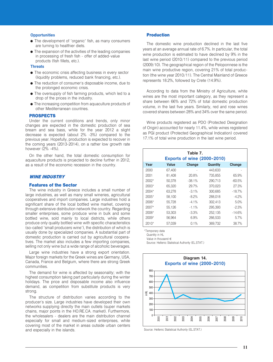# **Opportunities**

- The development of "organic" fish, as many consumers are turning to healthier diets.
- The expansion of the activities of the leading companies in processing of fresh fish - offer of added-value products (fish fillets, etc.).

#### **Threats**

- The economic crisis affecting business in every sector (liquidity problems, reduced bank financing, etc.).
- The reduction of consumer's disposable income, due to the prolonged economic crisis.
- The oversupply of fish farming products, which led to a drop of the prices in the industry.
- The increasing competition from aquaculture products of other Mediterranean countries.

#### **PROSPECTS**

Under the current conditions and trends, only minor changes are expected in the domestic production of sea bream and sea bass, while for the year 2012 a slight decrease is expected (about 2% -3%) compared to the previous year. Hopefully, production is expected to recover in the coming years (2013-2014), on a rather low growth rate however (2% -4%).

On the other hand, the total domestic consumption for aquaculture products is projected to decline further in 2012, as a result of the economic recession in the country.

# **WINE INDUSTRY**

# **Features of the Sector**

The wine industry in Greece includes a small number of large industries, as well as many small wineries, agricultural cooperatives and import companies. Large industries hold a significant share of the local bottled wine market, covering through extensive distribution network the country. Regarding smaller enterprises, some produce wine in bulk and some bottled wine, sold mainly to local districts, while others produce only quality bottled wine with specific characteristics (so-called "small producers wine"), the distribution of which is usually done by specialized companies. A substantial part of domestic production is carried out by agricultural cooperatives. The market also includes a few importing companies, selling not only wine but a wide range of alcoholic beverages.

Large wine industries have a strong export orientation. Major foreign markets for the Greek wines are Germany, USA. Canada, France and Belgium, where there are strong Greek communities.

The demand for wine is affected by seasonality; with the highest consumption taking part particularly during the winter holidays. The price and disposable income also influence demand, as competition from substitute products is very strong.

The structure of distribution varies according to the producer's size. Large industries have developed their own networks supplying directly the main outlets (super markets chains, major points in the HO.RE.CA. market). Furthermore, the wholesalers - dealers are the main distribution channel especially for small and medium-sized enterprises, while covering most of the market in areas outside urban centers and especially in the islands.

## **Production**

The domestic wine production declined in the last five years at an average annual rate of 6.7%. In particular, the total wine production is estimated to have declined by 9% in the last wine period (2010/11) compared to the previous period (2009/10). The geographical region of the Peloponnese is the main wine productive region, covering 21% of total production (the wine year 2010/11). The Central Mainland of Greece represents 18.2%, followed by Crete (14.9%).

According to data from the Ministry of Agriculture, white wines are the most important category, as they represent a share between 66% and 72% of total domestic production volume, in the last five years. Similarly, red and rose wines covered shares between 28% and 34% over the same period.

Wine products registered as PDO (Protected Designation of Origin) accounted for nearly 11.4%, while wines registered as PGI product (Protected Geographical Indication) covered 17.1% of total wine production in the last wine period.

| Table 7.<br><b>Exports of wine (2000-2010)</b> |        |           |          |           |  |  |  |
|------------------------------------------------|--------|-----------|----------|-----------|--|--|--|
| Year                                           | Value  | Change    | Quantity | Change    |  |  |  |
| 2000                                           | 67.400 |           | 443.633  |           |  |  |  |
| 2001                                           | 81,408 | 20.8%     | 735.855  | 65.9%     |  |  |  |
| $2002*$                                        | 50.378 | $-38.1\%$ | 290.713  | $-60.5\%$ |  |  |  |
| $2003*$                                        | 65.320 | 29.7%     | 370.023  | 27.3%     |  |  |  |
| $2004*$                                        | 63.278 | $-3.1\%$  | 300.685  | $-18.7%$  |  |  |  |
| $2005*$                                        | 58.100 | $-8.2\%$  | 288,018  | $-4.2%$   |  |  |  |
| $2006*$                                        | 55.728 | $-4.1\%$  | 302.413  | 5.0%      |  |  |  |
| $2007*$                                        | 55,126 | $-1.1\%$  | 295,393  | $-2.3%$   |  |  |  |
| $2008*$                                        | 53.303 | $-3.3\%$  | 252.135  | $-14.6%$  |  |  |  |
| $2009*$                                        | 56.964 | 6.9%      | 266.533  | 5.7%      |  |  |  |
| $2010*$                                        | 57.039 | 0.1%      | 369,732  | 38.7%     |  |  |  |

\*Temporary data

Quantity in HL

Value in thousand  $\in$ 

Source: Hellenic Statistical Authority (EL.STAT.)



Source: Hellenic Statistical Authority (EL.STAT.)